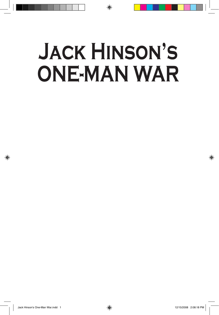# **JACK HINSON'S ONE-MAN WAR**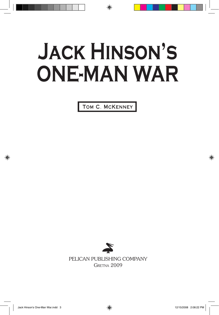# **JACK HINSON'S ONE-MAN WAR**

TOM C. MCKENNEY



PELICAN PUBLISHING COMPANY Gretna 2009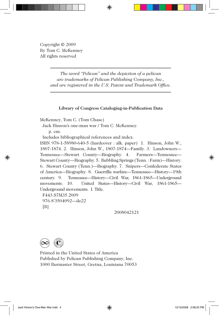Copyright © 2009 By Tom C. McKenney All rights reserved

> *The word "Pelican" and the depiction of a pelican are trademarks of Pelican Publishing Company, Inc., and are registered in the U.S. Patent and Trademark Office.*

#### **Library of Congress Cataloging-in-Publication Data**

McKenney, Tom C. (Tom Chase)

Jack Hinson's one-man war / Tom C. McKenney.

p. cm.

Includes bibliographical references and index.

ISBN 978-1-58980-640-5 (hardcover : alk. paper) 1. Hinson, John W., 1807-1874. 2. Hinson, John W., 1807-1874—Family. 3. Landowners— Tennessee—Stewart County—Biography. 4. Farmers—Tennessee— Stewart County—Biography. 5. Bubbling Springs (Tenn. : Farm)—History. 6. Stewart County (Tenn.)—Biography. 7. Snipers—Confederate States of America—Biography. 8. Guerrilla warfare—Tennessee—History—19th century. 9. Tennessee—History—Civil War, 1861-1865—Underground movements. 10. United States—History—Civil War, 1861-1865— Underground movements. I. Title.

 F443.S7M35 2009 976.8'3504092—dc22 [B]

2008042121



Printed in the United States of America Published by Pelican Publishing Company, Inc. 1000 Burmaster Street, Gretna, Louisiana 70053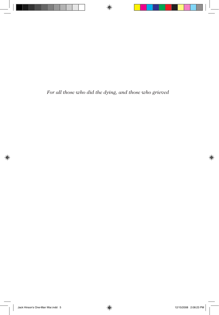*For all those who did the dying, and those who grieved*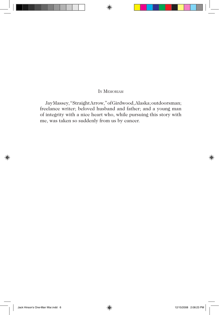#### IN MEMORIAM

Jay Massey, "Straight Arrow," of Girdwood, Alaska; outdoorsman; freelance writer; beloved husband and father; and a young man of integrity with a nice heart who, while pursuing this story with me, was taken so suddenly from us by cancer.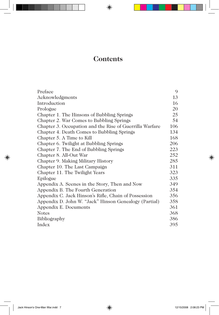## **Contents**

| Preface                                                 | 9   |
|---------------------------------------------------------|-----|
| Acknowledgments                                         | 13  |
| Introduction                                            | 16  |
| Prologue                                                | 20  |
| Chapter 1. The Hinsons of Bubbling Springs              | 25  |
| Chapter 2. War Comes to Bubbling Springs                | 54  |
| Chapter 3. Occupation and the Rise of Guerrilla Warfare | 106 |
| Chapter 4. Death Comes to Bubbling Springs              | 134 |
| Chapter 5. A Time to Kill                               | 168 |
| Chapter 6. Twilight at Bubbling Springs                 | 206 |
| Chapter 7. The End of Bubbling Springs                  | 223 |
| Chapter 8. All-Out War                                  | 252 |
| Chapter 9. Making Military History                      | 285 |
| Chapter 10. The Last Campaign                           | 311 |
| Chapter 11. The Twilight Years                          | 323 |
| Epilogue                                                | 335 |
| Appendix A. Scenes in the Story, Then and Now           | 349 |
| Appendix B. The Fourth Generation                       | 354 |
| Appendix C. Jack Hinson's Rifle, Chain of Possession    | 356 |
| Appendix D. John W. "Jack" Hinson Genealogy (Partial)   | 358 |
| Appendix E. Documents                                   | 361 |
| <b>Notes</b>                                            | 368 |
| Bibliography                                            | 386 |
| Index                                                   | 395 |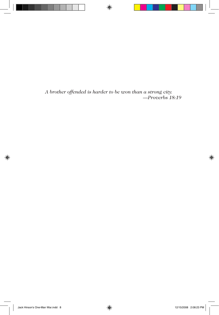*A brother offended is harder to be won than a strong city. —Proverbs 18:19*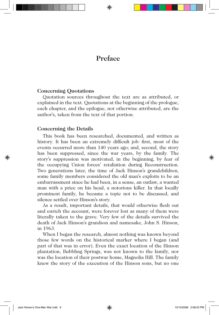### **Preface**

#### **Concerning Quotations**

Quotation sources throughout the text are as attributed, or explained in the text. Quotations at the beginning of the prologue, each chapter, and the epilogue, not otherwise attributed, are the author's, taken from the text of that portion.

#### **Concerning the Details**

This book has been researched, documented, and written as history. It has been an extremely difficult job: first, most of the events occurred more than 140 years ago; and, second, the story has been suppressed, since the war years, by the family. The story's suppression was motivated, in the beginning, by fear of the occupying Union forces' retaliation during Reconstruction. Two generations later, the time of Jack Hinson's grandchildren, some family members considered the old man's exploits to be an embarrassment since he had been, in a sense, an outlaw, a wanted man with a price on his head, a notorious killer. In that locally prominent family, he became a topic not to be discussed, and silence settled over Hinson's story.

As a result, important details, that would otherwise flesh out and enrich the account, were forever lost as many of them were literally taken to the grave. Very few of the details survived the death of Jack Hinson's grandson and namesake, John S. Hinson, in 1963.

When I began the research, almost nothing was known beyond those few words on the historical marker where I began (and part of that was in error). Even the exact location of the Hinson plantation, Bubbling Springs, was not known to the family, nor was the location of their postwar home, Magnolia Hill. The family knew the story of the execution of the Hinson sons, but no one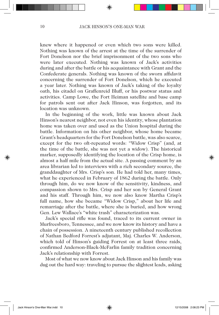knew where it happened or even which two sons were killed. Nothing was known of the arrest at the time of the surrender of Fort Donelson nor the brief imprisonment of the two sons who were later executed. Nothing was known of Jack's activities during and after the battle or his acquaintance with Grant and the Confederate generals. Nothing was known of the sworn affidavit concerning the surrender of Fort Donelson, which he executed a year later. Nothing was known of Jack's taking of the loyalty oath, his citadel on Graffenreid Bluff, or his postwar status and activities. Camp Lowe, the Fort Heiman satellite and base camp for patrols sent out after Jack Hinson, was forgotten, and its location was unknown.

In the beginning of the work, little was known about Jack Hinson's nearest neighbor, not even his identity, whose plantation home was taken over and used as the Union hospital during the battle. Information on his other neighbor, whose home became Grant's headquarters for the Fort Donelson battle, was also scarce, except for the two oft-repeated words: "Widow Crisp" (and, at the time of the battle, she was not yet a widow). The historical marker, supposedly identifying the location of the Crisp home, is almost a half mile from the actual site. A passing comment by an area librarian led to interviews with a rich secondary source, the granddaughter of Mrs. Crisp's son. He had told her, many times, what he experienced in February of 1862 during the battle. Only through him, do we now know of the sensitivity, kindness, and compassion shown to Mrs. Crisp and her son by General Grant and his staff. Through him, we now also know Martha Crisp's full name, how she became "Widow Crisp," about her life and remarriage after the battle, where she is buried, and how wrong Gen. Lew Wallace's "white trash" characterization was.

Jack's special rifle was found, traced to its current owner in Murfreesboro, Tennessee, and we now know its history and have a chain of possession. A nineteenth century published recollection of Nathan Bedford Forrest's adjutant, Maj. Charles W. Anderson, which told of Hinson's guiding Forrest on at least three raids, confirmed Anderson-Black-McFarlin family tradition concerning Jack's relationship with Forrest.

Most of what we now know about Jack Hinson and his family was dug out the hard way: traveling to pursue the slightest leads, asking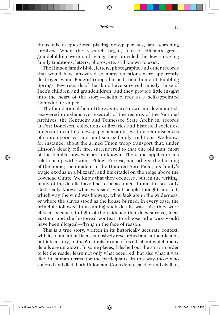thousands of questions, placing newspaper ads, and searching archives. When the research began, four of Hinson's greatgrandchildren were still living; they provided the few surviving family traditions, letters, photos, etc. still known to exist.

The Hinson family Bible, letters, photographs, and other records that would have answered so many questions were apparently destroyed when Federal troops burned their home at Bubbling Springs. Few records of that kind have survived, mostly those of Jack's children and grandchildren, and they provide little insight into the heart of the story—Jack's career as a self-appointed Confederate sniper.

The foundational facts of the events are known and documented, recovered in exhaustive research of the records of the National Archives, the Kentucky and Tennessee State Archives, records at Fort Donelson, collections of libraries and historical societies, nineteenth-century newspaper accounts, written reminiscences of contemporaries, and multisource family traditions. We know, for instance, about the armed Union troop transport that, under Hinson's deadly rifle fire, surrendered to that one old man; most of the details, however, are unknown. The same applies to his relationship with Grant, Pillow, Forrest, and others; the burning of the home; the incident in the Hundred Acre Field; his family's tragic exodus in a blizzard; and his citadel on the ridge above the Towhead Chute. We know that they occurred, but, in the writing, many of the details have had to be assumed. In most cases, only God really knows what was said, what people thought and felt, which way the wind was blowing, what Jack ate in the wilderness, or where the slaves stood as the house burned. In every case, the principle followed in assuming such details was this: they were chosen because, in light of the evidence that does survive, local custom, and the historical context, to choose otherwise would have been illogical—flying in the face of reason.

This is a true story, written in its historically accurate context, with its foundational facts extensively researched and authenticated, but it is a story, to the great misfortune of us all, about which many details are unknown. In some places, I fleshed out the story in order to let the reader learn not only what occurred, but also what it was like, in human terms, for the participants. In this way those who suffered and died, both Union and Confederate, soldier and civilian,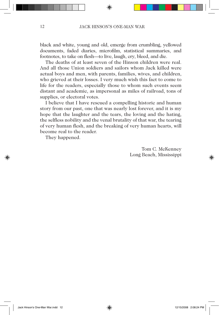black and white, young and old, emerge from crumbling, yellowed documents, faded diaries, microfilm, statistical summaries, and footnotes, to take on flesh—to live, laugh, cry, bleed, and die.

The deaths of at least seven of the Hinson children were real. And all those Union soldiers and sailors whom Jack killed were actual boys and men, with parents, families, wives, and children, who grieved at their losses. I very much wish this fact to come to life for the readers, especially those to whom such events seem distant and academic, as impersonal as miles of railroad, tons of supplies, or electoral votes.

I believe that I have rescued a compelling historic and human story from our past, one that was nearly lost forever, and it is my hope that the laughter and the tears, the loving and the hating, the selfless nobility and the venal brutality of that war, the tearing of very human flesh, and the breaking of very human hearts, will become real to the reader.

They happened.

Tom C. McKenney Long Beach, Mississippi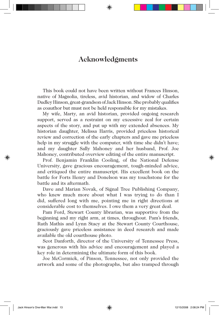## **Acknowledgments**

This book could not have been written without Frances Hinson, native of Magnolia, tireless, avid historian, and widow of Charles Dudley Hinson, great-grandson of Jack Hinson. She probably qualifies as coauthor but must not be held responsible for my mistakes.

My wife, Marty, an avid historian, provided ongoing research support, served as a restraint on my excessive zeal for certain aspects of the story, and put up with my extended absences. My historian daughter, Melissa Harris, provided priceless historical review and correction of the early chapters and gave me priceless help in my struggle with the computer, with time she didn't have; and my daughter Sally Mahoney and her husband, Prof. Joe Mahoney, contributed overview editing of the entire manuscript.

Prof. Benjamin Franklin Cooling, of the National Defense University, gave gracious encouragement, tough-minded advice, and critiqued the entire manuscript. His excellent book on the battle for Forts Henry and Donelson was my touchstone for the battle and its aftermath.

Dave and Marian Novak, of Signal Tree Publishing Company, who knew much more about what I was trying to do than I did, suffered long with me, pointing me in right directions at considerable cost to themselves. I owe them a very great deal.

Pam Ford, Stewart County librarian, was supportive from the beginning and my right arm, at times, throughout. Pam's friends, Ruth Mathis and Lynn Stacy at the Stewart County Courthouse, graciously gave priceless assistance in deed research and made available the old courthouse photo.

Scot Danforth, director of the University of Tennessee Press, was generous with his advice and encouragement and played a key role in determining the ultimate form of this book.

Joe McCormick, of Pinson, Tennessee, not only provided the artwork and some of the photographs, but also tramped through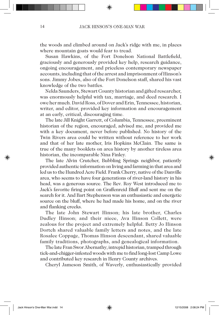the woods and climbed around on Jack's ridge with me, in places where mountain goats would fear to tread.

Susan Hawkins, of the Fort Donelson National Battlefield, graciously and generously provided key help, research guidance, ongoing encouragement, and priceless contemporary newspaper accounts, including that of the arrest and imprisonment of Hinson's sons. Jimmy Jobes, also of the Fort Donelson staff, shared his vast knowledge of the two battles.

Nelda Saunders, Stewart County historian and gifted researcher, was enormously helpful with tax, marriage, and deed research. I owe her much. David Ross, of Dover and Erin, Tennessee, historian, writer, and editor, provided key information and encouragement at an early, critical, discouraging time.

The late Jill Knight Garrett, of Columbia, Tennessee, preeminent historian of the region, encouraged, advised me, and provided me with a key document, never before published. No history of the Twin Rivers area could be written without reference to her work and that of her late mother, Iris Hopkins McClain. The same is true of the many booklets on area history by another tireless area historian, the incomparable Nina Finley.

The late Alvin Crutcher, Bubbling Springs neighbor, patiently provided authentic information on living and farming in that area and led us to the Hundred Acre Field. Frank Cherry, native of the Danville area, who seems to have four generations of river-land history in his head, was a generous source. The Rev. Roy West introduced me to Jack's favorite firing point on Graffenreid Bluff and sent me on the search for it. And Bart Stephenson was an enthusiastic and energetic source on the bluff, where he had made his home, and on the river and flanking creeks.

The late John Stewart Hinson; his late brother, Charles Dudley Hinson; and their niece, Ava Hinson Collett, were zealous for the project and extremely helpful. Betty Jo Hinson Dortch shared valuable family letters and notes, and the late Rosalee Coppage, Thomas Hinson descendant, shared valuable family traditions, photographs, and genealogical information.

The late Fran Swor Abernathy, intrepid historian, tramped through tick-and-chigger-infested woods with me to find long-lost Camp Lowe and contributed key research in Henry County archives.

Cheryl Jameson Smith, of Waverly, enthusiastically provided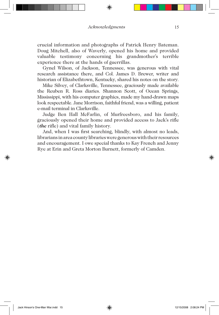crucial information and photographs of Patrick Henry Bateman. Doug Mitchell, also of Waverly, opened his home and provided valuable testimony concerning his grandmother's terrible experience there at the hands of guerrillas.

Gynel Wilson, of Jackson, Tennessee, was generous with vital research assistance there, and Col. James D. Brewer, writer and historian of Elizabethtown, Kentucky, shared his notes on the story.

Mike Silvey, of Clarksville, Tennessee, graciously made available the Reuben R. Ross diaries. Shannon Scott, of Ocean Springs, Mississippi, with his computer graphics, made my hand-drawn maps look respectable. Jane Morrison, faithful friend, was a willing, patient e-mail terminal in Clarksville.

Judge Ben Hall McFarlin, of Murfreesboro, and his family, graciously opened their home and provided access to Jack's rifle (*the* rifle) and vital family history.

And, when I was first searching, blindly, with almost no leads, librarians in area county libraries were generous with their resources and encouragement. I owe special thanks to Kay French and Jenny Rye at Erin and Greta Morton Burnett, formerly of Camden.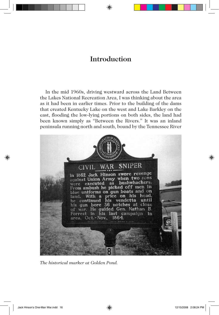## **Introduction**

In the mid 1960s, driving westward across the Land Between the Lakes National Recreation Area, I was thinking about the area as it had been in earlier times. Prior to the building of the dams that created Kentucky Lake on the west and Lake Barkley on the east, flooding the low-lying portions on both sides, the land had been known simply as "Between the Rivers." It was an inland peninsula running north and south, bound by the Tennessee River



*The historical marker at Golden Pond.*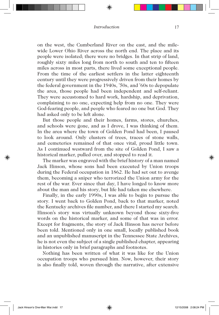on the west, the Cumberland River on the east, and the milewide Lower Ohio River across the north end. The place and its people were isolated; there were no bridges. In that strip of land, roughly sixty miles long from north to south and ten to fifteen miles across in most parts, there lived some exceptional people. From the time of the earliest settlers in the latter eighteenth century until they were progressively driven from their homes by the federal government in the 1940s, '50s, and '60s to depopulate the area, those people had been independent and self-reliant. They were accustomed to hard work, hardship, and deprivation, complaining to no one, expecting help from no one. They were God-fearing people, and people who feared no one but God. They had asked only to be left alone.

But those people and their homes, farms, stores, churches, and schools were gone, and as I drove, I was thinking of them. In the area where the town of Golden Pond had been, I paused to look around. Only clusters of trees, traces of stone walls, and cemeteries remained of that once vital, proud little town. As I continued westward from the site of Golden Pond, I saw a historical marker, pulled over, and stopped to read it.

The marker was engraved with the brief history of a man named Jack Hinson, whose sons had been executed by Union troops during the Federal occupation in 1862. He had set out to avenge them, becoming a sniper who terrorized the Union army for the rest of the war. Ever since that day, I have longed to know more about the man and his story, but life had taken me elsewhere.

Finally, in the early 1990s, I was able to begin to pursue the story. I went back to Golden Pond, back to that marker, noted the Kentucky archives file number, and there I started my search. Hinson's story was virtually unknown beyond those sixty-five words on the historical marker, and some of that was in error. Except for fragments, the story of Jack Hinson has never before been told. Mentioned only in one small, locally published book and an unpublished manuscript in the Tennessee State Archives, he is not even the subject of a single published chapter, appearing in histories only in brief paragraphs and footnotes.

Nothing has been written of what it was like for the Union occupation troops who pursued him. Now, however, their story is also finally told, woven through the narrative, after extensive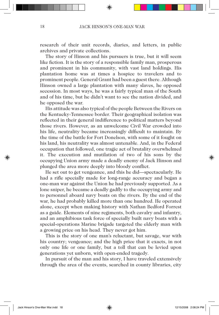research of their unit records, diaries, and letters, in public archives and private collections.

The story of Hinson and his pursuers is true, but it will seem like fiction. It is the story of a responsible family man, prosperous and prominent in his community, with vast land holdings. His plantation home was at times a hospice to travelers and to prominent people. General Grant had been a guest there. Although Hinson owned a large plantation with many slaves, he opposed secession. In most ways, he was a fairly typical man of the South and of his time, but he didn't want to see the nation divided, and he opposed the war.

His attitude was also typical of the people Between the Rivers on the Kentucky-Tennessee border. Their geographical isolation was reflected in their general indifference to political matters beyond those rivers. However, as an unwelcome Civil War crowded into his life, neutrality became increasingly difficult to maintain. By the time of the battle for Fort Donelson, with some of it fought on his land, his neutrality was almost untenable. And, in the Federal occupation that followed, one tragic act of brutality overwhelmed it. The execution and mutilation of two of his sons by the occupying Union army made a deadly enemy of Jack Hinson and plunged the area more deeply into bloody conflict.

He set out to get vengeance, and this he did—spectacularly. He had a rifle specially made for long-range accuracy and began a one-man war against the Union he had previously supported. As a lone sniper, he became a deadly gadfly to the occupying army and to personnel aboard navy boats on the rivers. By the end of the war, he had probably killed more than one hundred. He operated alone, except when making history with Nathan Bedford Forrest as a guide. Elements of nine regiments, both cavalry and infantry, and an amphibious task force of specially built navy boats with a special-operations Marine brigade targeted the elderly man with a growing price on his head. They never got him.

This is the story of one man's reluctant, but savage, war with his country; vengeance; and the high price that it exacts, in not only one life or one family, but a toll that can be levied upon generations yet unborn, with open-ended tragedy.

In pursuit of the man and his story, I have traveled extensively through the area of the events, searched in county libraries, city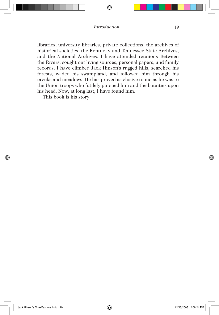libraries, university libraries, private collections, the archives of historical societies, the Kentucky and Tennessee State Archives, and the National Archives. I have attended reunions Between the Rivers, sought out living sources, personal papers, and family records. I have climbed Jack Hinson's rugged hills, searched his forests, waded his swampland, and followed him through his creeks and meadows. He has proved as elusive to me as he was to the Union troops who futilely pursued him and the bounties upon his head. Now, at long last, I have found him.

This book is his story.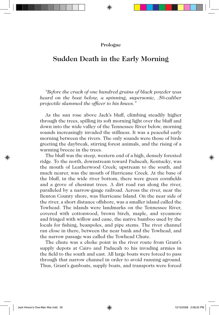#### **Prologue**

### **Sudden Death in the Early Morning**

*"Before the crack of one hundred grains of black powder was heard on the boat below, a spinning, supersonic, .50-caliber projectile slammed the officer to his knees."*

As the sun rose above Jack's bluff, climbing steadily higher through the trees, spilling its soft morning light over the bluff and down into the wide valley of the Tennessee River below, morning sounds increasingly invaded the stillness. It was a peaceful early morning between the rivers. The only sounds were those of birds greeting the daybreak, stirring forest animals, and the rising of a warming breeze in the trees.

The bluff was the steep, western end of a high, densely forested ridge. To the north, downstream toward Paducah, Kentucky, was the mouth of Leatherwood Creek; upstream to the south, and much nearer, was the mouth of Hurricane Creek. At the base of the bluff, in the wide river bottom, there were green cornfields and a grove of chestnut trees. A dirt road ran along the river, paralleled by a narrow-gauge railroad. Across the river, near the Benton County shore, was Hurricane Island. On the near side of the river, a short distance offshore, was a smaller island called the Towhead. The islands were landmarks on the Tennessee River, covered with cottonwood, brown birch, maple, and sycamore and fringed with willow and cane, the native bamboo used by the locals for fishing, beanpoles, and pipe stems. The river channel ran close in there, between the near bank and the Towhead, and the narrow passage was called the Towhead Chute.

The chute was a choke point in the river route from Grant's supply depots at Cairo and Paducah to his invading armies in the field to the south and east. All large boats were forced to pass through that narrow channel in order to avoid running aground. Thus, Grant's gunboats, supply boats, and transports were forced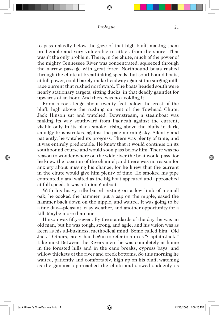to pass nakedly below the gaze of that high bluff, making them predictable and very vulnerable to attack from the shore. That wasn't the only problem. There, in the chute, much of the power of the mighty Tennessee River was concentrated, squeezed through the narrow passage with great force. Northbound boats rushed through the chute at breathtaking speeds, but southbound boats, at full power, could barely make headway against the surging millrace current that rushed northward. The boats headed south were nearly stationary targets, sitting ducks, in that deadly gauntlet for upwards of an hour. And there was no avoiding it.

From a rock ledge about twenty feet below the crest of the bluff, high above the rushing current of the Towhead Chute, Jack Hinson sat and watched. Downstream, a steamboat was making its way southward from Paducah against the current, visible only in its black smoke, rising above the bluffs in dark, smudgy brushstrokes, against the pale morning sky. Silently and patiently, he watched its progress. There was plenty of time, and it was entirely predictable. He knew that it would continue on its southbound course and would soon pass below him. There was no reason to wonder where on the wide river the boat would pass, for he knew the location of the channel; and there was no reason for anxiety about missing his chance, for he knew that the current in the chute would give him plenty of time. He smoked his pipe contentedly and waited as the big boat appeared and approached at full speed. It was a Union gunboat.

With his heavy rifle barrel resting on a low limb of a small oak, he cocked the hammer, put a cap on the nipple, eased the hammer back down on the nipple, and waited. It was going to be a fine day—pleasant, easy weather, and another opportunity for a kill. Maybe more than one.

Hinson was fifty-seven. By the standards of the day, he was an old man, but he was tough, strong, and agile, and his vision was as keen as his all-business, methodical mind. Some called him "Old Jack." Others, lately, had begun to refer to him as "Captain Jack." Like most Between the Rivers men, he was completely at home in the forested hills and in the cane breaks, cypress bays, and willow thickets of the river and creek bottoms. So this morning he waited, patiently and comfortably, high up on his bluff, watching as the gunboat approached the chute and slowed suddenly as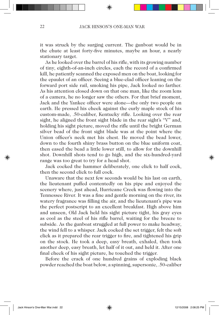it was struck by the surging current. The gunboat would be in the chute at least forty-five minutes, maybe an hour, a nearly stationary target.

As he looked over the barrel of his rifle, with its growing number of tiny, eighth-of-an-inch circles, each the record of a confirmed kill, he patiently scanned the exposed men on the boat, looking for the epaulet of an officer. Seeing a blue-clad officer leaning on the forward port side rail, smoking his pipe, Jack looked no farther. As his attention closed down on that one man, like the zoom lens of a camera, he no longer saw the others. For that brief moment, Jack and the Yankee officer were alone—the only two people on earth. He pressed his cheek against the curly maple stock of his custom-made, .50-caliber, Kentucky rifle. Looking over the rear sight, he aligned the front sight blade in the rear sight's "V" and, holding his sight picture, moved the rifle until the bright German silver bead of the front sight blade was at the point where the Union officer's neck met his chest. He moved the bead lower, down to the fourth shiny brass button on the blue uniform coat, then eased the bead a little lower still, to allow for the downhill shot. Downhill shots tend to go high, and the six-hundred-yard range was too great to try for a head shot.

Jack cocked the hammer deliberately, one click to half cock, then the second click to full cock.

Unaware that the next few seconds would be his last on earth, the lieutenant puffed contentedly on his pipe and enjoyed the scenery where, just ahead, Hurricane Creek was flowing into the Tennessee River. It was a fine and gentle morning on the river, its watery fragrance was filling the air, and the lieutenant's pipe was the perfect postscript to an excellent breakfast. High above him and unseen, Old Jack held his sight picture tight, his gray eyes as cool as the steel of his rifle barrel, waiting for the breeze to subside. As the gunboat struggled at full power to make headway, the wind fell to a whisper. Jack cocked the set trigger, felt the soft click as it prepared the rear trigger to fire, and tightened his grip on the stock. He took a deep, easy breath, exhaled, then took another deep, easy breath, let half of it out, and held it. After one final check of his sight picture, he touched the trigger.

Before the crack of one hundred grains of exploding black powder reached the boat below, a spinning, supersonic, .50-caliber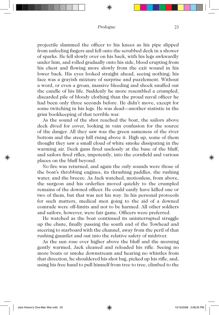projectile slammed the officer to his knees as his pipe slipped from unfeeling fingers and fell onto the scrubbed deck in a shower of sparks. He fell slowly over on his back, with his legs awkwardly under him, and rolled gradually onto his side, blood erupting from his chest and flowing more slowly from the exit wound in his lower back. His eyes looked straight ahead, seeing nothing; his face was a grayish mixture of surprise and puzzlement. Without a word, or even a groan, massive bleeding and shock snuffed out the candle of his life. Suddenly he more resembled a crumpled, discarded pile of bloody clothing than the proud naval officer he had been only three seconds before. He didn't move, except for some twitching in his legs. He was dead—another statistic in the grim bookkeeping of that terrible war.

As the sound of the shot reached the boat, the sailors above deck dived for cover, looking in vain confusion for the source of the danger. All they saw was the green sameness of the river bottom and the steep hill rising above it. High up, some of them thought they saw a small cloud of white smoke dissipating in the warming air. Deck guns fired uselessly at the base of the bluff, and sailors fired rifles, impotently, into the cornfield and various places on the bluff beyond.

No fire was returned, and again the only sounds were those of the boat's throbbing engines, its thrashing paddles, the rushing water, and the breeze. As Jack watched, motionless, from above, the surgeon and his orderlies moved quickly to the crumpled remains of the downed officer. He could easily have killed one or two of them, but that was not his way. In his personal protocols for such matters, medical men going to the aid of a downed comrade were off-limits and not to be harmed. All other soldiers and sailors, however, were fair game. Officers were preferred.

He watched as the boat continued its uninterrupted struggle up the chute, finally passing the south end of the Towhead and steering to starboard with the channel, away from the peril of that rushing gauntlet and out into the relative safety of midriver.

As the sun rose ever higher above the bluff and the morning gently warmed, Jack cleaned and reloaded his rifle. Seeing no more boats or smoke downstream and hearing no whistles from that direction, he shouldered his shot bag, picked up his rifle, and, using his free hand to pull himself from tree to tree, climbed to the